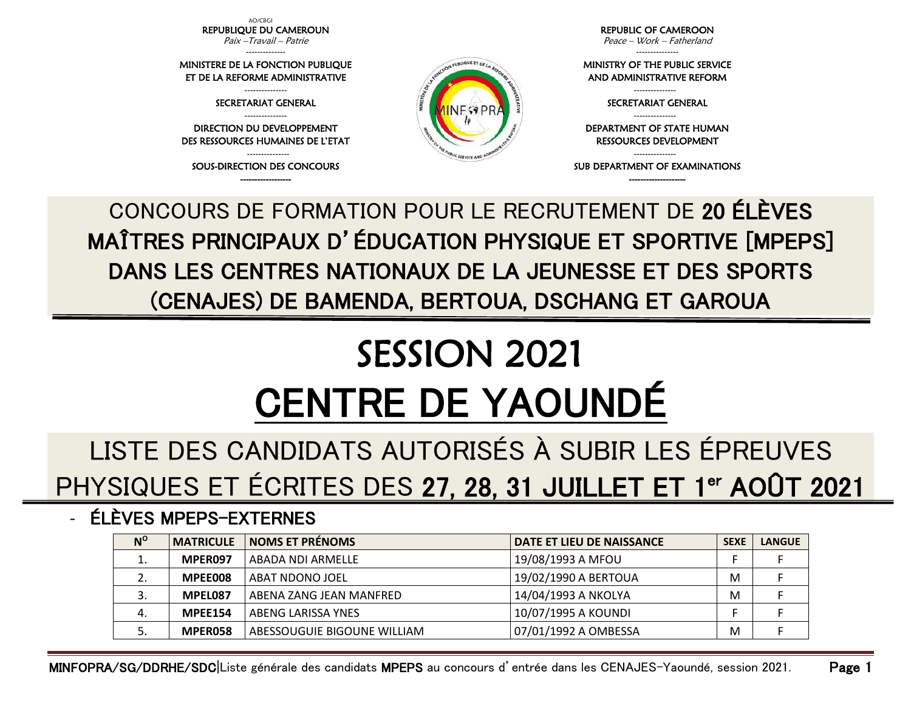AO/CBGI REPUBLIQUE DU CAMEROUN Paix –Travail – Patrie --------------

MINISTERE DE LA FONCTION PUBLIQUE ET DE LA REFORME ADMINISTRATIVE --------------- SECRETARIAT GENERAL --------------- DIRECTION DU DEVELOPPEMENT DES RESSOURCES HUMAINES DE L'ETAT --------------- SOUS-DIRECTION DES CONCOURS ------------------

REPUBLIC OF CAMEROON Peace – Work – Fatherland

--------------- MINISTRY OF THE PUBLIC SERVICE AND ADMINISTRATIVE REFORM

> --------------- SECRETARIAT GENERAL ---------------

DEPARTMENT OF STATE HUMAN RESSOURCES DEVELOPMENT

--------------- SUB DEPARTMENT OF EXAMINATIONS -------------------

CONCOURS DE FORMATION POUR LE RECRUTEMENT DE 20 ÉLÈVES MAÎTRES PRINCIPAUX D'ÉDUCATION PHYSIQUE ET SPORTIVE [MPEPS] DANS LES CENTRES NATIONAUX DE LA JEUNESSE ET DES SPORTS (CENAJES) DE BAMENDA, BERTOUA, DSCHANG ET GAROUA

PUBLIQUE ET DE

# SESSION 2021 CENTRE DE YAOUNDÉ

# LISTE DES CANDIDATS AUTORISÉS À SUBIR LES ÉPREUVES PHYSIQUES ET ÉCRITES DES 27, 28, 31 JUILLET ET 1<sup>er</sup> AOÛT 2021

### - ÉLÈVES MPEPS-EXTERNES

| $N^{\rm o}$ | <b>MATRICULE</b> | <b>NOMS ET PRÉNOMS</b>      | DATE ET LIEU DE NAISSANCE | <b>SEXE</b> | <b>LANGUE</b> |
|-------------|------------------|-----------------------------|---------------------------|-------------|---------------|
|             | MPER097          | ABADA NDI ARMELLE           | 19/08/1993 A MFOU         |             |               |
|             | MPEE008          | ABAT NDONO JOEL             | 19/02/1990 A BERTOUA      | M           |               |
|             | MPEL087          | ABENA ZANG JEAN MANFRED     | 14/04/1993 A NKOLYA       | M           |               |
| 4.          | <b>MPEE154</b>   | ABENG LARISSA YNES          | 10/07/1995 A KOUNDI       |             |               |
|             | MPER058          | ABESSOUGUIE BIGOUNE WILLIAM | 07/01/1992 A OMBESSA      | M           |               |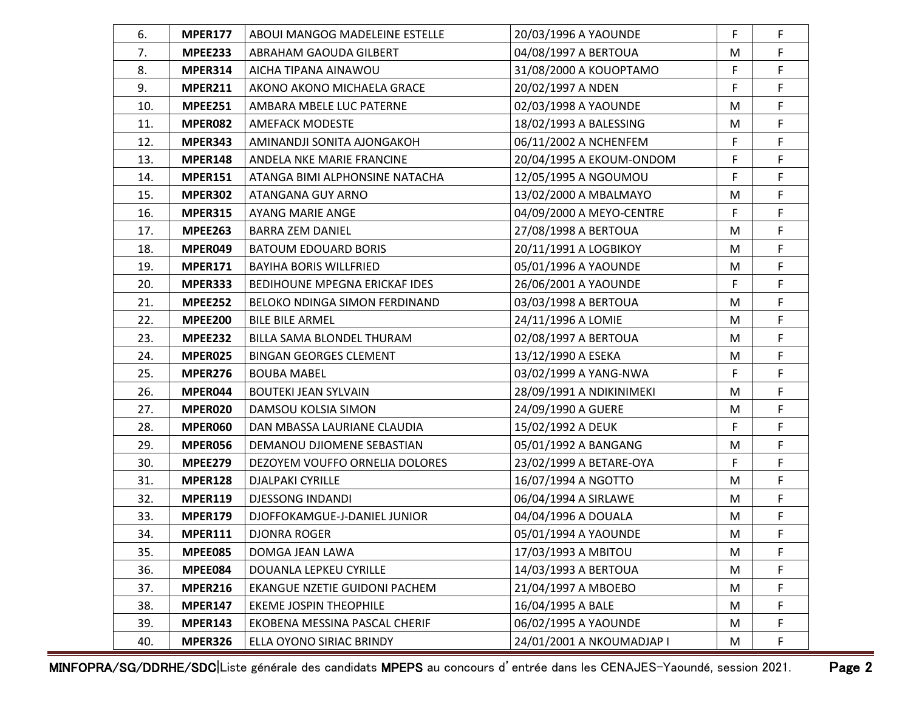| 6.  | <b>MPER177</b> | ABOUI MANGOG MADELEINE ESTELLE | 20/03/1996 A YAOUNDE      | F | $\mathsf F$ |
|-----|----------------|--------------------------------|---------------------------|---|-------------|
| 7.  | <b>MPEE233</b> | ABRAHAM GAOUDA GILBERT         | 04/08/1997 A BERTOUA      | M | F           |
| 8.  | MPER314        | AICHA TIPANA AINAWOU           | 31/08/2000 A KOUOPTAMO    | F | F           |
| 9.  | <b>MPER211</b> | AKONO AKONO MICHAELA GRACE     | 20/02/1997 A NDEN         | F | F           |
| 10. | <b>MPEE251</b> | AMBARA MBELE LUC PATERNE       | 02/03/1998 A YAOUNDE      | M | F           |
| 11. | MPER082        | <b>AMEFACK MODESTE</b>         | 18/02/1993 A BALESSING    | M | F           |
| 12. | MPER343        | AMINANDJI SONITA AJONGAKOH     | 06/11/2002 A NCHENFEM     | F | F           |
| 13. | <b>MPER148</b> | ANDELA NKE MARIE FRANCINE      | 20/04/1995 A EKOUM-ONDOM  | F | F           |
| 14. | <b>MPER151</b> | ATANGA BIMI ALPHONSINE NATACHA | 12/05/1995 A NGOUMOU      | F | F           |
| 15. | <b>MPER302</b> | ATANGANA GUY ARNO              | 13/02/2000 A MBALMAYO     | M | F           |
| 16. | <b>MPER315</b> | AYANG MARIE ANGE               | 04/09/2000 A MEYO-CENTRE  | F | F           |
| 17. | <b>MPEE263</b> | <b>BARRA ZEM DANIEL</b>        | 27/08/1998 A BERTOUA      | M | F           |
| 18. | MPER049        | <b>BATOUM EDOUARD BORIS</b>    | 20/11/1991 A LOGBIKOY     | M | F           |
| 19. | <b>MPER171</b> | <b>BAYIHA BORIS WILLFRIED</b>  | 05/01/1996 A YAOUNDE      | M | F           |
| 20. | <b>MPER333</b> | BEDIHOUNE MPEGNA ERICKAF IDES  | 26/06/2001 A YAOUNDE      | F | F           |
| 21. | <b>MPEE252</b> | BELOKO NDINGA SIMON FERDINAND  | 03/03/1998 A BERTOUA      | M | F           |
| 22. | <b>MPEE200</b> | <b>BILE BILE ARMEL</b>         | 24/11/1996 A LOMIE        | M | F           |
| 23. | <b>MPEE232</b> | BILLA SAMA BLONDEL THURAM      | 02/08/1997 A BERTOUA      | M | F           |
| 24. | MPER025        | <b>BINGAN GEORGES CLEMENT</b>  | 13/12/1990 A ESEKA        | M | F           |
| 25. | <b>MPER276</b> | <b>BOUBA MABEL</b>             | 03/02/1999 A YANG-NWA     | F | F           |
| 26. | MPER044        | <b>BOUTEKI JEAN SYLVAIN</b>    | 28/09/1991 A NDIKINIMEKI  | M | F           |
| 27. | MPER020        | DAMSOU KOLSIA SIMON            | 24/09/1990 A GUERE        | M | F           |
| 28. | MPER060        | DAN MBASSA LAURIANE CLAUDIA    | 15/02/1992 A DEUK         | F | F           |
| 29. | MPER056        | DEMANOU DJIOMENE SEBASTIAN     | 05/01/1992 A BANGANG      | M | F           |
| 30. | <b>MPEE279</b> | DEZOYEM VOUFFO ORNELIA DOLORES | 23/02/1999 A BETARE-OYA   | F | F           |
| 31. | <b>MPER128</b> | <b>DJALPAKI CYRILLE</b>        | 16/07/1994 A NGOTTO       | M | F           |
| 32. | <b>MPER119</b> | <b>DJESSONG INDANDI</b>        | 06/04/1994 A SIRLAWE      | M | F           |
| 33. | <b>MPER179</b> | DJOFFOKAMGUE-J-DANIEL JUNIOR   | 04/04/1996 A DOUALA       | M | F           |
| 34. | MPER111        | <b>DJONRA ROGER</b>            | 05/01/1994 A YAOUNDE      | M | F           |
| 35. | <b>MPEE085</b> | DOMGA JEAN LAWA                | 17/03/1993 A MBITOU       | M | F           |
| 36. | MPEE084        | DOUANLA LEPKEU CYRILLE         | 14/03/1993 A BERTOUA      | M | F           |
| 37. | <b>MPER216</b> | EKANGUE NZETIE GUIDONI PACHEM  | 21/04/1997 A MBOEBO       | M | F           |
| 38. | <b>MPER147</b> | <b>EKEME JOSPIN THEOPHILE</b>  | 16/04/1995 A BALE         | M | F           |
| 39. | <b>MPER143</b> | EKOBENA MESSINA PASCAL CHERIF  | 06/02/1995 A YAOUNDE      | M | F           |
| 40. | <b>MPER326</b> | ELLA OYONO SIRIAC BRINDY       | 24/01/2001 A NKOUMADJAP I | M | F           |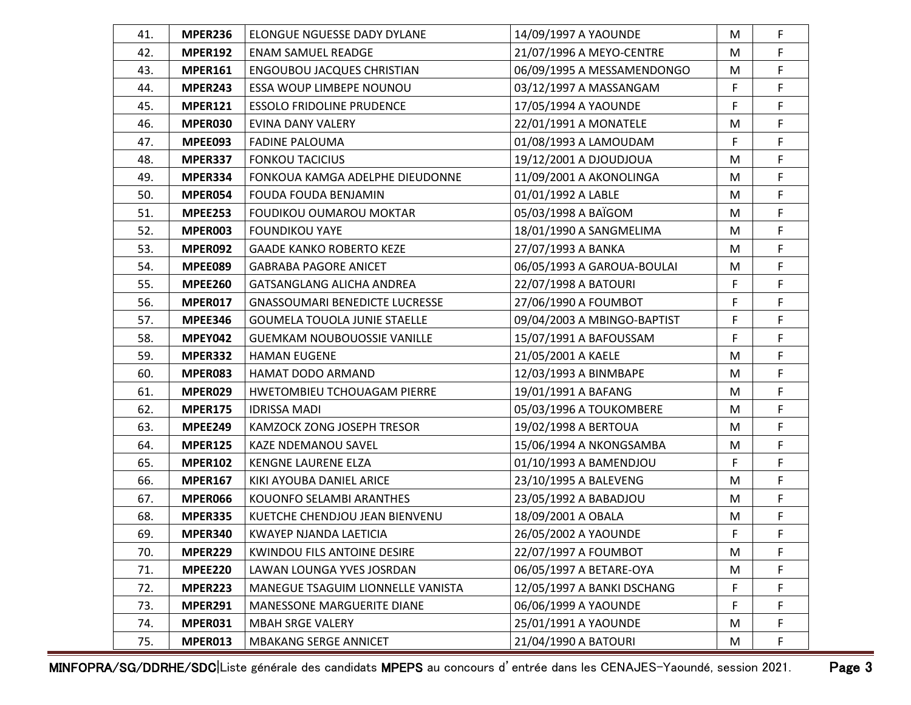| 41. | <b>MPER236</b> | ELONGUE NGUESSE DADY DYLANE           | 14/09/1997 A YAOUNDE        | M | $\mathsf F$ |
|-----|----------------|---------------------------------------|-----------------------------|---|-------------|
| 42. | <b>MPER192</b> | <b>ENAM SAMUEL READGE</b>             | 21/07/1996 A MEYO-CENTRE    | M | F           |
| 43. | <b>MPER161</b> | <b>ENGOUBOU JACQUES CHRISTIAN</b>     | 06/09/1995 A MESSAMENDONGO  | M | F           |
| 44. | MPER243        | ESSA WOUP LIMBEPE NOUNOU              | 03/12/1997 A MASSANGAM      | F | F           |
| 45. | <b>MPER121</b> | <b>ESSOLO FRIDOLINE PRUDENCE</b>      | 17/05/1994 A YAOUNDE        | F | F           |
| 46. | MPER030        | EVINA DANY VALERY                     | 22/01/1991 A MONATELE       | M | F           |
| 47. | MPEE093        | <b>FADINE PALOUMA</b>                 | 01/08/1993 A LAMOUDAM       | F | F           |
| 48. | MPER337        | <b>FONKOU TACICIUS</b>                | 19/12/2001 A DJOUDJOUA      | M | F           |
| 49. | MPER334        | FONKOUA KAMGA ADELPHE DIEUDONNE       | 11/09/2001 A AKONOLINGA     | M | F           |
| 50. | MPER054        | <b>FOUDA FOUDA BENJAMIN</b>           | 01/01/1992 A LABLE          | M | F           |
| 51. | <b>MPEE253</b> | <b>FOUDIKOU OUMAROU MOKTAR</b>        | 05/03/1998 A BAÏGOM         | M | F           |
| 52. | MPER003        | <b>FOUNDIKOU YAYE</b>                 | 18/01/1990 A SANGMELIMA     | M | F           |
| 53. | MPER092        | <b>GAADE KANKO ROBERTO KEZE</b>       | 27/07/1993 A BANKA          | M | F           |
| 54. | MPEE089        | <b>GABRABA PAGORE ANICET</b>          | 06/05/1993 A GAROUA-BOULAI  | M | F           |
| 55. | <b>MPEE260</b> | <b>GATSANGLANG ALICHA ANDREA</b>      | 22/07/1998 A BATOURI        | F | F           |
| 56. | MPER017        | <b>GNASSOUMARI BENEDICTE LUCRESSE</b> | 27/06/1990 A FOUMBOT        | F | F           |
| 57. | <b>MPEE346</b> | <b>GOUMELA TOUOLA JUNIE STAELLE</b>   | 09/04/2003 A MBINGO-BAPTIST | F | F           |
| 58. | <b>MPEY042</b> | <b>GUEMKAM NOUBOUOSSIE VANILLE</b>    | 15/07/1991 A BAFOUSSAM      | F | F.          |
| 59. | MPER332        | <b>HAMAN EUGENE</b>                   | 21/05/2001 A KAELE          | M | F           |
| 60. | MPER083        | HAMAT DODO ARMAND                     | 12/03/1993 A BINMBAPE       | M | F           |
| 61. | MPER029        | HWETOMBIEU TCHOUAGAM PIERRE           | 19/01/1991 A BAFANG         | M | F           |
| 62. | <b>MPER175</b> | <b>IDRISSA MADI</b>                   | 05/03/1996 A TOUKOMBERE     | M | F           |
| 63. | <b>MPEE249</b> | KAMZOCK ZONG JOSEPH TRESOR            | 19/02/1998 A BERTOUA        | M | F           |
| 64. | <b>MPER125</b> | KAZE NDEMANOU SAVEL                   | 15/06/1994 A NKONGSAMBA     | M | F           |
| 65. | <b>MPER102</b> | KENGNE LAURENE ELZA                   | 01/10/1993 A BAMENDJOU      | F | F           |
| 66. | <b>MPER167</b> | KIKI AYOUBA DANIEL ARICE              | 23/10/1995 A BALEVENG       | M | F           |
| 67. | MPER066        | KOUONFO SELAMBI ARANTHES              | 23/05/1992 A BABADJOU       | M | F           |
| 68. | <b>MPER335</b> | KUETCHE CHENDJOU JEAN BIENVENU        | 18/09/2001 A OBALA          | M | F           |
| 69. | MPER340        | KWAYEP NJANDA LAETICIA                | 26/05/2002 A YAOUNDE        | F | F           |
| 70. | <b>MPER229</b> | <b>KWINDOU FILS ANTOINE DESIRE</b>    | 22/07/1997 A FOUMBOT        | M | F           |
| 71. | <b>MPEE220</b> | LAWAN LOUNGA YVES JOSRDAN             | 06/05/1997 A BETARE-OYA     | M | F           |
| 72. | <b>MPER223</b> | MANEGUE TSAGUIM LIONNELLE VANISTA     | 12/05/1997 A BANKI DSCHANG  | F | F           |
| 73. | <b>MPER291</b> | <b>MANESSONE MARGUERITE DIANE</b>     | 06/06/1999 A YAOUNDE        | F | F           |
| 74. | MPER031        | <b>MBAH SRGE VALERY</b>               | 25/01/1991 A YAOUNDE        | M | F           |
| 75. | MPER013        | <b>MBAKANG SERGE ANNICET</b>          | 21/04/1990 A BATOURI        | M | F           |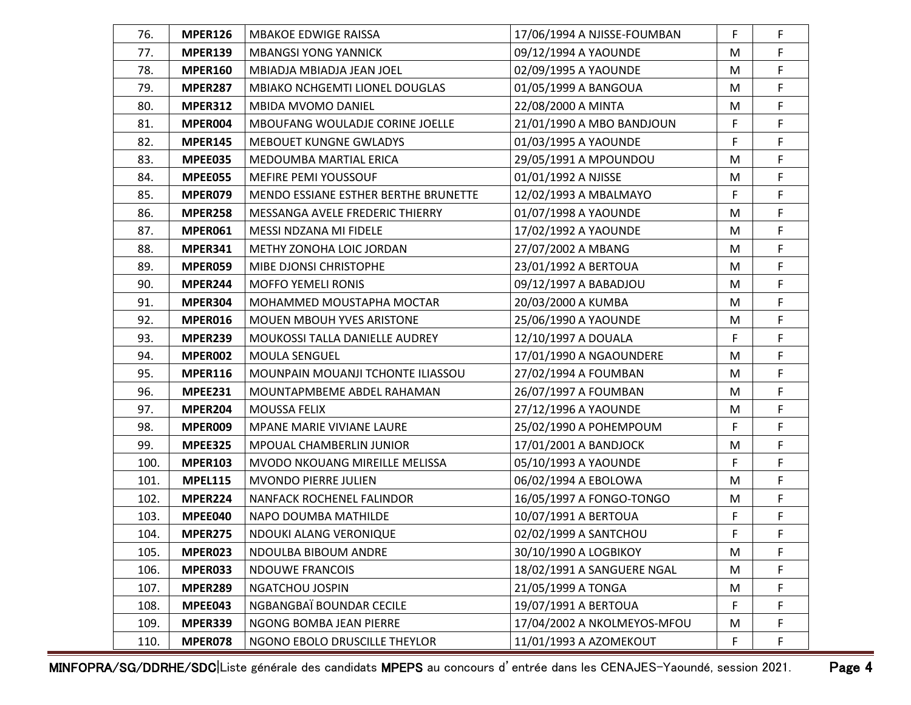| 76.  | <b>MPER126</b> | <b>MBAKOE EDWIGE RAISSA</b>            | 17/06/1994 A NJISSE-FOUMBAN | F  | $\mathsf F$ |
|------|----------------|----------------------------------------|-----------------------------|----|-------------|
| 77.  | <b>MPER139</b> | <b>MBANGSI YONG YANNICK</b>            | 09/12/1994 A YAOUNDE        | M  | F           |
| 78.  | <b>MPER160</b> | MBIADJA MBIADJA JEAN JOEL              | 02/09/1995 A YAOUNDE        | M  | F           |
| 79.  | <b>MPER287</b> | MBIAKO NCHGEMTI LIONEL DOUGLAS         | 01/05/1999 A BANGOUA        | M  | F           |
| 80.  | <b>MPER312</b> | MBIDA MVOMO DANIEL                     | 22/08/2000 A MINTA          | M  | F           |
| 81.  | MPER004        | <b>MBOUFANG WOULADJE CORINE JOELLE</b> | 21/01/1990 A MBO BANDJOUN   | F  | F           |
| 82.  | <b>MPER145</b> | <b>MEBOUET KUNGNE GWLADYS</b>          | 01/03/1995 A YAOUNDE        | F  | F           |
| 83.  | MPEE035        | MEDOUMBA MARTIAL ERICA                 | 29/05/1991 A MPOUNDOU       | M  | F           |
| 84.  | MPEE055        | MEFIRE PEMI YOUSSOUF                   | 01/01/1992 A NJISSE         | M  | F           |
| 85.  | MPER079        | MENDO ESSIANE ESTHER BERTHE BRUNETTE   | 12/02/1993 A MBALMAYO       | F  | F           |
| 86.  | <b>MPER258</b> | MESSANGA AVELE FREDERIC THIERRY        | 01/07/1998 A YAOUNDE        | M  | F           |
| 87.  | MPER061        | MESSI NDZANA MI FIDELE                 | 17/02/1992 A YAOUNDE        | M  | F           |
| 88.  | <b>MPER341</b> | METHY ZONOHA LOIC JORDAN               | 27/07/2002 A MBANG          | M  | F           |
| 89.  | MPER059        | MIBE DJONSI CHRISTOPHE                 | 23/01/1992 A BERTOUA        | M  | F           |
| 90.  | MPER244        | <b>MOFFO YEMELI RONIS</b>              | 09/12/1997 A BABADJOU       | M  | F           |
| 91.  | <b>MPER304</b> | MOHAMMED MOUSTAPHA MOCTAR              | 20/03/2000 A KUMBA          | M  | F           |
| 92.  | MPER016        | MOUEN MBOUH YVES ARISTONE              | 25/06/1990 A YAOUNDE        | M  | F           |
| 93.  | MPER239        | MOUKOSSI TALLA DANIELLE AUDREY         | 12/10/1997 A DOUALA         | F  | F.          |
| 94.  | MPER002        | <b>MOULA SENGUEL</b>                   | 17/01/1990 A NGAOUNDERE     | M  | F           |
| 95.  | <b>MPER116</b> | MOUNPAIN MOUANJI TCHONTE ILIASSOU      | 27/02/1994 A FOUMBAN        | M  | F           |
| 96.  | <b>MPEE231</b> | MOUNTAPMBEME ABDEL RAHAMAN             | 26/07/1997 A FOUMBAN        | M  | F           |
| 97.  | MPER204        | <b>MOUSSA FELIX</b>                    | 27/12/1996 A YAOUNDE        | M  | F           |
| 98.  | MPER009        | MPANE MARIE VIVIANE LAURE              | 25/02/1990 A POHEMPOUM      | F  | F           |
| 99.  | <b>MPEE325</b> | <b>MPOUAL CHAMBERLIN JUNIOR</b>        | 17/01/2001 A BANDJOCK       | M  | F           |
| 100. | <b>MPER103</b> | MVODO NKOUANG MIREILLE MELISSA         | 05/10/1993 A YAOUNDE        | F  | F           |
| 101. | <b>MPEL115</b> | MVONDO PIERRE JULIEN                   | 06/02/1994 A EBOLOWA        | M  | F           |
| 102. | MPER224        | NANFACK ROCHENEL FALINDOR              | 16/05/1997 A FONGO-TONGO    | M  | F           |
| 103. | MPEE040        | NAPO DOUMBA MATHILDE                   | 10/07/1991 A BERTOUA        | F  | F           |
| 104. | <b>MPER275</b> | NDOUKI ALANG VERONIQUE                 | 02/02/1999 A SANTCHOU       | F. | F           |
| 105. | MPER023        | NDOULBA BIBOUM ANDRE                   | 30/10/1990 A LOGBIKOY       | M  | F           |
| 106. | MPER033        | <b>NDOUWE FRANCOIS</b>                 | 18/02/1991 A SANGUERE NGAL  | M  | F           |
| 107. | <b>MPER289</b> | <b>NGATCHOU JOSPIN</b>                 | 21/05/1999 A TONGA          | M  | F           |
| 108. | MPEE043        | NGBANGBAÏ BOUNDAR CECILE               | 19/07/1991 A BERTOUA        | F  | F           |
| 109. | MPER339        | NGONG BOMBA JEAN PIERRE                | 17/04/2002 A NKOLMEYOS-MFOU | M  | F           |
| 110. | MPER078        | NGONO EBOLO DRUSCILLE THEYLOR          | 11/01/1993 A AZOMEKOUT      | F. | F           |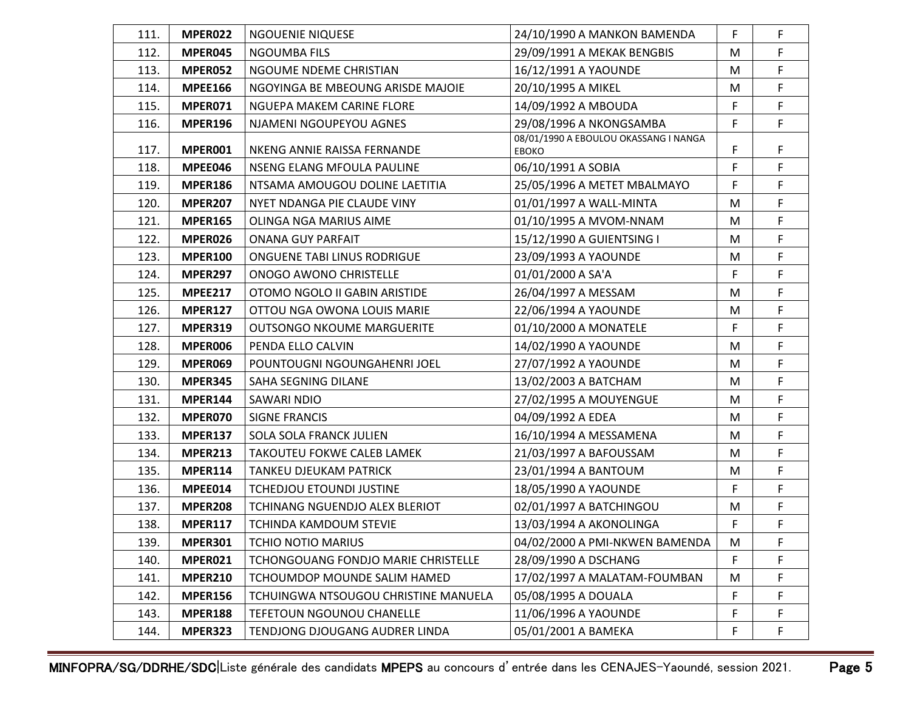| 111. | MPER022        | <b>NGOUENIE NIQUESE</b>              | 24/10/1990 A MANKON BAMENDA                           | F         | F.          |
|------|----------------|--------------------------------------|-------------------------------------------------------|-----------|-------------|
| 112. | MPER045        | <b>NGOUMBA FILS</b>                  | 29/09/1991 A MEKAK BENGBIS                            | M         | F           |
| 113. | MPER052        | NGOUME NDEME CHRISTIAN               | 16/12/1991 A YAOUNDE                                  | M         | F.          |
| 114. | <b>MPEE166</b> | NGOYINGA BE MBEOUNG ARISDE MAJOIE    | 20/10/1995 A MIKEL                                    | M         | F           |
| 115. | MPER071        | NGUEPA MAKEM CARINE FLORE            | 14/09/1992 A MBOUDA                                   | F         | F           |
| 116. | <b>MPER196</b> | NJAMENI NGOUPEYOU AGNES              | 29/08/1996 A NKONGSAMBA                               | F.        | F           |
| 117. | MPER001        | NKENG ANNIE RAISSA FERNANDE          | 08/01/1990 A EBOULOU OKASSANG I NANGA<br><b>EBOKO</b> | F         | F           |
| 118. | MPEE046        | <b>NSENG ELANG MFOULA PAULINE</b>    | 06/10/1991 A SOBIA                                    | F         | F           |
| 119. | <b>MPER186</b> | NTSAMA AMOUGOU DOLINE LAETITIA       | 25/05/1996 A METET MBALMAYO                           | F         | F           |
| 120. | <b>MPER207</b> | NYET NDANGA PIE CLAUDE VINY          | 01/01/1997 A WALL-MINTA                               | M         | F           |
| 121. | <b>MPER165</b> | OLINGA NGA MARIUS AIME               | 01/10/1995 A MVOM-NNAM                                | M         | F           |
| 122. | MPER026        | <b>ONANA GUY PARFAIT</b>             | 15/12/1990 A GUIENTSING I                             | M         | F           |
| 123. | <b>MPER100</b> | ONGUENE TABI LINUS RODRIGUE          | 23/09/1993 A YAOUNDE                                  | M         | F           |
| 124. | <b>MPER297</b> | ONOGO AWONO CHRISTELLE               | 01/01/2000 A SA'A                                     | F         | F           |
| 125. | <b>MPEE217</b> | OTOMO NGOLO II GABIN ARISTIDE        | 26/04/1997 A MESSAM                                   | M         | F           |
| 126. | <b>MPER127</b> | OTTOU NGA OWONA LOUIS MARIE          | 22/06/1994 A YAOUNDE                                  | M         | F           |
| 127. | <b>MPER319</b> | <b>OUTSONGO NKOUME MARGUERITE</b>    | 01/10/2000 A MONATELE                                 | F.        | F           |
| 128. | MPER006        | PENDA ELLO CALVIN                    | 14/02/1990 A YAOUNDE                                  | M         | F           |
| 129. | MPER069        | POUNTOUGNI NGOUNGAHENRI JOEL         | 27/07/1992 A YAOUNDE                                  | M         | F           |
| 130. | <b>MPER345</b> | SAHA SEGNING DILANE                  | 13/02/2003 A BATCHAM                                  | M         | F           |
| 131. | <b>MPER144</b> | SAWARI NDIO                          | 27/02/1995 A MOUYENGUE                                | M         | F           |
| 132. | MPER070        | <b>SIGNE FRANCIS</b>                 | 04/09/1992 A EDEA                                     | M         | F           |
| 133. | <b>MPER137</b> | SOLA SOLA FRANCK JULIEN              | 16/10/1994 A MESSAMENA                                | M         | F.          |
| 134. | <b>MPER213</b> | TAKOUTEU FOKWE CALEB LAMEK           | 21/03/1997 A BAFOUSSAM                                | M         | F           |
| 135. | <b>MPER114</b> | TANKEU DJEUKAM PATRICK               | 23/01/1994 A BANTOUM                                  | M         | F           |
| 136. | MPEE014        | <b>TCHEDJOU ETOUNDI JUSTINE</b>      | 18/05/1990 A YAOUNDE                                  | F         | F           |
| 137. | <b>MPER208</b> | TCHINANG NGUENDJO ALEX BLERIOT       | 02/01/1997 A BATCHINGOU                               | M         | F           |
| 138. | <b>MPER117</b> | <b>TCHINDA KAMDOUM STEVIE</b>        | 13/03/1994 A AKONOLINGA                               | F         | F           |
| 139. | <b>MPER301</b> | TCHIO NOTIO MARIUS                   | 04/02/2000 A PMI-NKWEN BAMENDA                        | ${\sf M}$ | $\mathsf F$ |
| 140. | MPER021        | TCHONGOUANG FONDJO MARIE CHRISTELLE  | 28/09/1990 A DSCHANG                                  | F         | F           |
| 141. | <b>MPER210</b> | TCHOUMDOP MOUNDE SALIM HAMED         | 17/02/1997 A MALATAM-FOUMBAN                          | М         | F           |
| 142. | <b>MPER156</b> | TCHUINGWA NTSOUGOU CHRISTINE MANUELA | 05/08/1995 A DOUALA                                   | F         | F           |
| 143. | <b>MPER188</b> | <b>TEFETOUN NGOUNOU CHANELLE</b>     | 11/06/1996 A YAOUNDE                                  | F         | F           |
| 144. | MPER323        | TENDJONG DJOUGANG AUDRER LINDA       | 05/01/2001 A BAMEKA                                   | F.        | F           |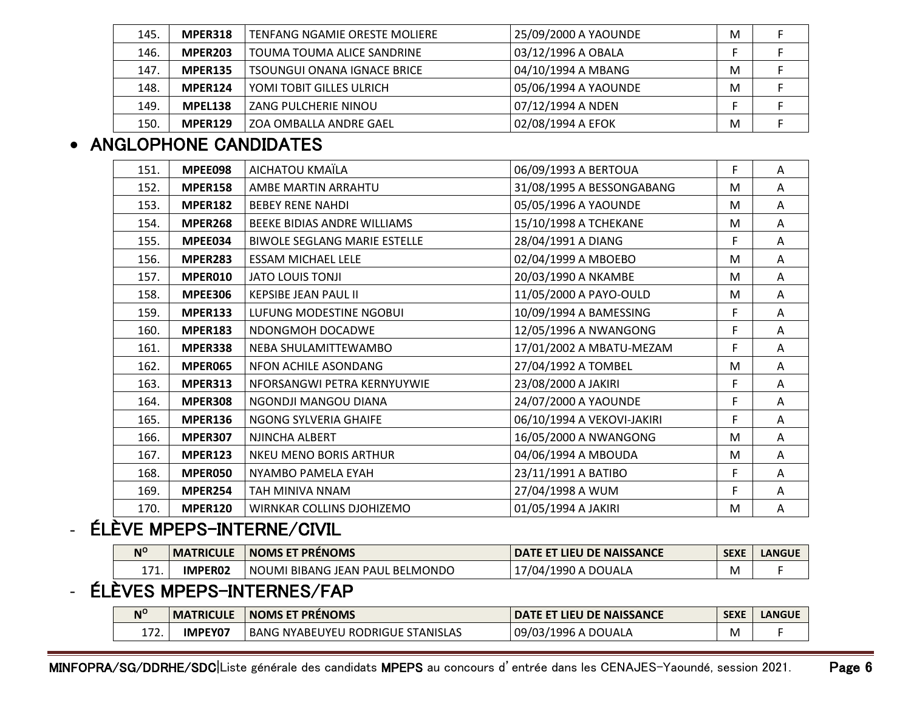| 145. | MPER318        | TENFANG NGAMIE ORESTE MOLIERE      | 25/09/2000 A YAOUNDE | M |  |
|------|----------------|------------------------------------|----------------------|---|--|
| 146. | <b>MPER203</b> | TOUMA TOUMA ALICE SANDRINE         | 03/12/1996 A OBALA   |   |  |
| 147. | <b>MPER135</b> | <b>TSOUNGUI ONANA IGNACE BRICE</b> | 04/10/1994 A MBANG   | M |  |
| 148. | MPER124        | YOMI TOBIT GILLES ULRICH           | 05/06/1994 A YAOUNDE | M |  |
| 149. | MPEL138        | <b>ZANG PULCHERIE NINOU</b>        | 07/12/1994 A NDEN    |   |  |
| 150. | MPER129        | l ZOA OMBALLA ANDRE GAEL           | 02/08/1994 A EFOK    | M |  |

#### • ANGLOPHONE CANDIDATES

| 151. | MPEE098        | AICHATOU KMAÏLA                     | 06/09/1993 A BERTOUA       | F  | Α |
|------|----------------|-------------------------------------|----------------------------|----|---|
| 152. | <b>MPER158</b> | AMBE MARTIN ARRAHTU                 | 31/08/1995 A BESSONGABANG  | M  | Α |
| 153. | <b>MPER182</b> | <b>BEBEY RENE NAHDI</b>             | 05/05/1996 A YAOUNDE       | M  | A |
| 154. | <b>MPER268</b> | BEEKE BIDIAS ANDRE WILLIAMS         | 15/10/1998 A TCHEKANE      | M  | A |
| 155. | MPEE034        | <b>BIWOLE SEGLANG MARIE ESTELLE</b> | 28/04/1991 A DIANG         | F  | Α |
| 156. | <b>MPER283</b> | <b>ESSAM MICHAEL LELE</b>           | 02/04/1999 A MBOEBO        | M  | A |
| 157. | MPER010        | <b>JATO LOUIS TONJI</b>             | 20/03/1990 A NKAMBE        | M  | Α |
| 158. | <b>MPEE306</b> | <b>KEPSIBE JEAN PAUL II</b>         | 11/05/2000 A PAYO-OULD     | M  | Α |
| 159. | <b>MPER133</b> | LUFUNG MODESTINE NGOBUI             | 10/09/1994 A BAMESSING     | F. | Α |
| 160. | <b>MPER183</b> | NDONGMOH DOCADWE                    | 12/05/1996 A NWANGONG      | F  | A |
| 161. | <b>MPER338</b> | NEBA SHULAMITTEWAMBO                | 17/01/2002 A MBATU-MEZAM   | F  | A |
| 162. | <b>MPER065</b> | NFON ACHILE ASONDANG                | 27/04/1992 A TOMBEL        | M  | Α |
| 163. | <b>MPER313</b> | NFORSANGWI PETRA KERNYUYWIE         | 23/08/2000 A JAKIRI        | F  | A |
| 164. | <b>MPER308</b> | NGONDJI MANGOU DIANA                | 24/07/2000 A YAOUNDE       | F. | A |
| 165. | <b>MPER136</b> | NGONG SYLVERIA GHAIFE               | 06/10/1994 A VEKOVI-JAKIRI | F. | Α |
| 166. | <b>MPER307</b> | NJINCHA ALBERT                      | 16/05/2000 A NWANGONG      | M  | A |
| 167. | <b>MPER123</b> | NKEU MENO BORIS ARTHUR              | 04/06/1994 A MBOUDA        | M  | A |
| 168. | MPER050        | NYAMBO PAMELA EYAH                  | 23/11/1991 A BATIBO        | F. | A |
| 169. | <b>MPER254</b> | TAH MINIVA NNAM                     | 27/04/1998 A WUM           | F  | Α |
| 170. | <b>MPER120</b> | WIRNKAR COLLINS DJOHIZEMO           | 01/05/1994 A JAKIRI        | M  | Α |

## - ÉLÈVE MPEPS-INTERNE/CIVIL

| $N^C$           | <b>\TRICULL</b><br>MA | I NOMS ET PRENOMS                                      | : NAISSANCE<br>LIEU DE                  | <b>SEXE</b> | <b>LANGUE</b> |
|-----------------|-----------------------|--------------------------------------------------------|-----------------------------------------|-------------|---------------|
| $-74$<br>± / ±. | <b>IMPER02</b>        | LMONDO<br>. JEAN-<br>-REL<br>JUMI BIBANG<br>N0<br>PAUI | -990<br>א∩/י−<br>. DOUALA<br>$\sqrt{ }$ | M           |               |

# - ÉLÈVES MPEPS-INTERNES/FAP

| $N^{\circ}$  | <b>MATRICULE</b> | I NOMS ET PRENOMS                             | DATE ET LIEU DE NAISSANCE | <b>SEXE</b> | <b>LANGUE</b> |
|--------------|------------------|-----------------------------------------------|---------------------------|-------------|---------------|
| $-1$<br>17Z. | <b>IMPEY07</b>   | U RODRIGUE STANISLAS<br><b>BANG NYABEUYEL</b> | l 09/03/1996 A DOUALA     | M           |               |